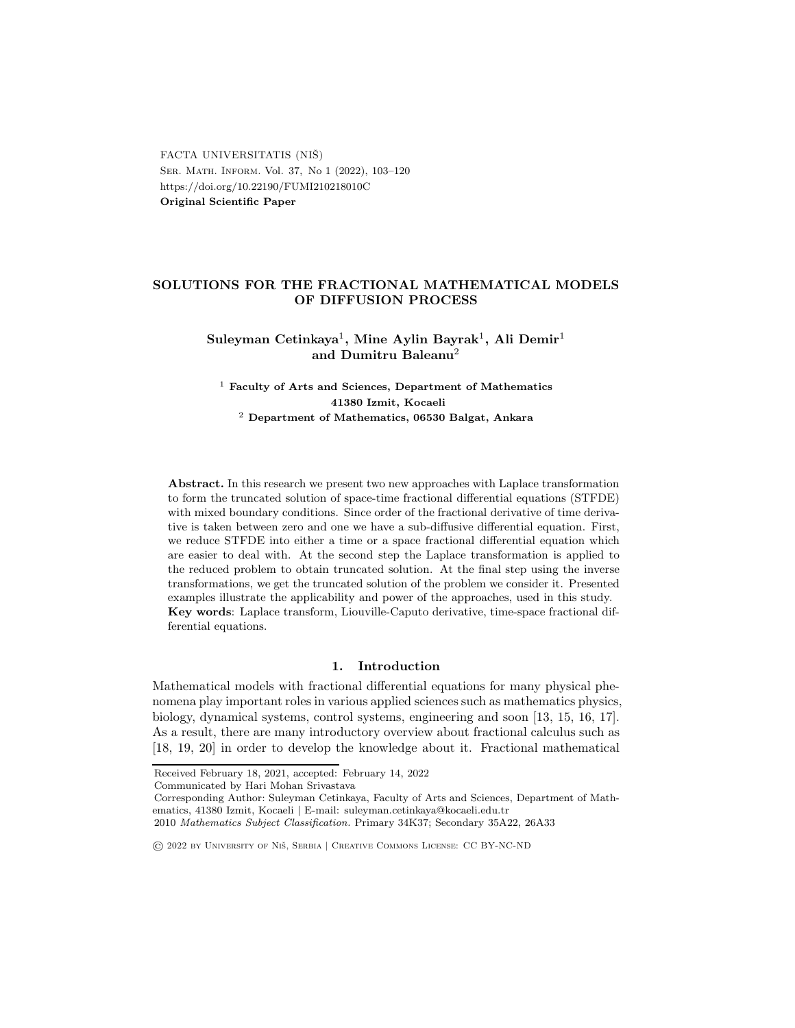FACTA UNIVERSITATIS (NIŠ) Ser. Math. Inform. Vol. 37, No 1 (2022), 103–120 https://doi.org/10.22190/FUMI210218010C Original Scientific Paper

## SOLUTIONS FOR THE FRACTIONAL MATHEMATICAL MODELS OF DIFFUSION PROCESS

## $\mathrm{Suleyman}\ \mathbf{Cetinkaya}^{1},$  Mine Aylin  $\mathrm{Bayrak}^{1},$  Ali  $\mathrm{Demir}^{1}$ and Dumitru Baleanu<sup>2</sup>

<sup>1</sup> Faculty of Arts and Sciences, Department of Mathematics 41380 Izmit, Kocaeli  $2$  Department of Mathematics, 06530 Balgat, Ankara

Abstract. In this research we present two new approaches with Laplace transformation to form the truncated solution of space-time fractional differential equations (STFDE) with mixed boundary conditions. Since order of the fractional derivative of time derivative is taken between zero and one we have a sub-diffusive differential equation. First, we reduce STFDE into either a time or a space fractional differential equation which are easier to deal with. At the second step the Laplace transformation is applied to the reduced problem to obtain truncated solution. At the final step using the inverse transformations, we get the truncated solution of the problem we consider it. Presented examples illustrate the applicability and power of the approaches, used in this study. Key words: Laplace transform, Liouville-Caputo derivative, time-space fractional differential equations.

### 1. Introduction

Mathematical models with fractional differential equations for many physical phenomena play important roles in various applied sciences such as mathematics physics, biology, dynamical systems, control systems, engineering and soon [13, 15, 16, 17]. As a result, there are many introductory overview about fractional calculus such as [18, 19, 20] in order to develop the knowledge about it. Fractional mathematical

Communicated by Hari Mohan Srivastava

Received February 18, 2021, accepted: February 14, 2022

Corresponding Author: Suleyman Cetinkaya, Faculty of Arts and Sciences, Department of Mathematics, 41380 Izmit, Kocaeli | E-mail: suleyman.cetinkaya@kocaeli.edu.tr 2010 Mathematics Subject Classification. Primary 34K37; Secondary 35A22, 26A33

<sup>©</sup> 2022 by University of Niˇs, Serbia | Creative Commons License: CC BY-NC-ND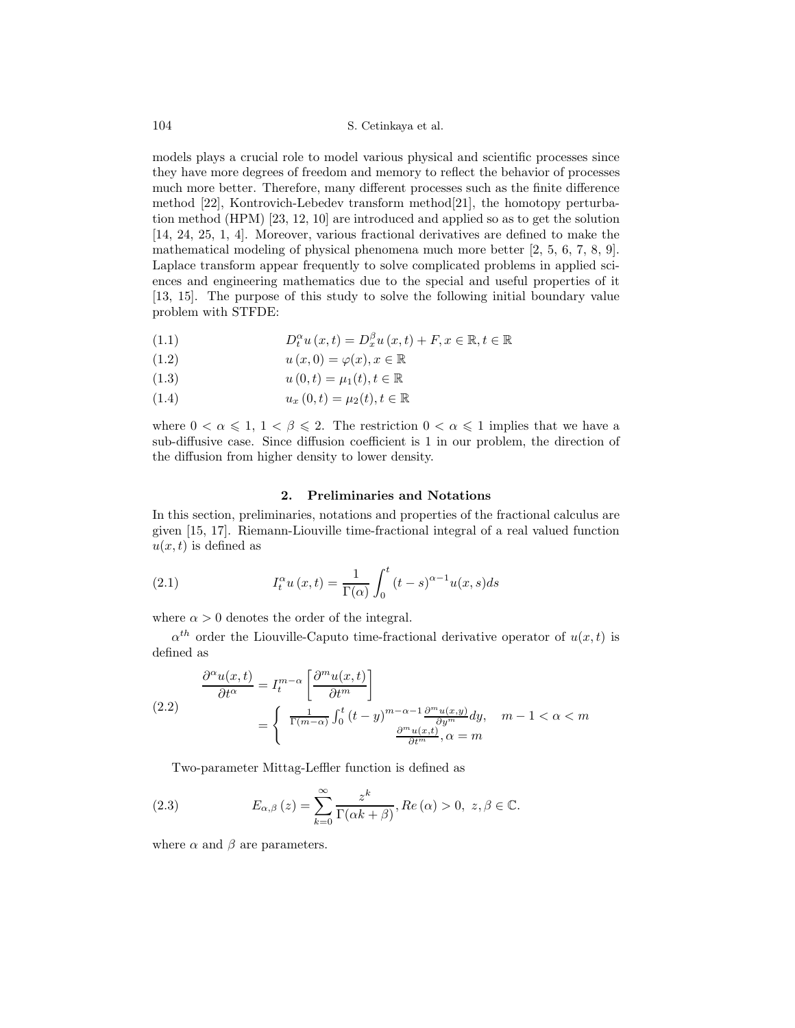104 S. Cetinkaya et al.

models plays a crucial role to model various physical and scientific processes since they have more degrees of freedom and memory to reflect the behavior of processes much more better. Therefore, many different processes such as the finite difference method [22], Kontrovich-Lebedev transform method[21], the homotopy perturbation method (HPM) [23, 12, 10] are introduced and applied so as to get the solution [14, 24, 25, 1, 4]. Moreover, various fractional derivatives are defined to make the mathematical modeling of physical phenomena much more better [2, 5, 6, 7, 8, 9]. Laplace transform appear frequently to solve complicated problems in applied sciences and engineering mathematics due to the special and useful properties of it [13, 15]. The purpose of this study to solve the following initial boundary value problem with STFDE:

- (1.1)  $D_t^{\alpha} u(x,t) = D_x^{\beta} u(x,t) + F, x \in \mathbb{R}, t \in \mathbb{R}$
- (1.2)  $u(x, 0) = \varphi(x), x \in \mathbb{R}$
- (1.3)  $u(0,t) = \mu_1(t), t \in \mathbb{R}$
- (1.4)  $u_x(0,t) = \mu_2(t), t \in \mathbb{R}$

where  $0 < \alpha \leq 1$ ,  $1 < \beta \leq 2$ . The restriction  $0 < \alpha \leq 1$  implies that we have a sub-diffusive case. Since diffusion coefficient is 1 in our problem, the direction of the diffusion from higher density to lower density.

## 2. Preliminaries and Notations

In this section, preliminaries, notations and properties of the fractional calculus are given [15, 17]. Riemann-Liouville time-fractional integral of a real valued function  $u(x, t)$  is defined as

(2.1) 
$$
I_t^{\alpha}u(x,t) = \frac{1}{\Gamma(\alpha)} \int_0^t (t-s)^{\alpha-1} u(x,s)ds
$$

where  $\alpha > 0$  denotes the order of the integral.

 $\alpha^{th}$  order the Liouville-Caputo time-fractional derivative operator of  $u(x,t)$  is defined as

(2.2)  
\n
$$
\frac{\partial^{\alpha}u(x,t)}{\partial t^{\alpha}} = I_{t}^{m-\alpha} \left[ \frac{\partial^{m}u(x,t)}{\partial t^{m}} \right]
$$
\n
$$
= \begin{cases}\n\frac{1}{\Gamma(m-\alpha)} \int_{0}^{t} (t-y)^{m-\alpha-1} \frac{\partial^{m}u(x,y)}{\partial y^{m}} dy, & m-1 < \alpha < m \\
\frac{\partial^{m}u(x,t)}{\partial t^{m}}, \alpha = m\n\end{cases}
$$

Two-parameter Mittag-Leffler function is defined as

(2.3) 
$$
E_{\alpha,\beta}(z) = \sum_{k=0}^{\infty} \frac{z^k}{\Gamma(\alpha k + \beta)}, Re(\alpha) > 0, z, \beta \in \mathbb{C}.
$$

where  $\alpha$  and  $\beta$  are parameters.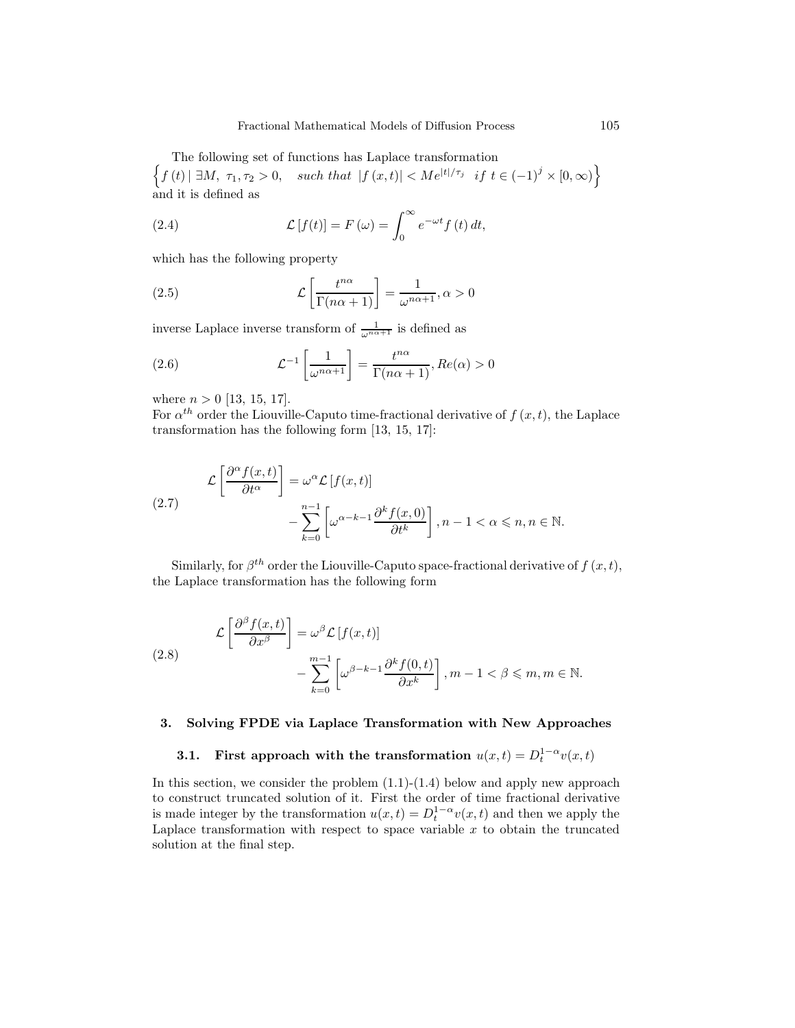The following set of functions has Laplace transformation

 $\left\{f(t) \mid \exists M, \tau_1, \tau_2 > 0, \text{ such that } |f(x,t)| < Me^{|t|/\tau_j} \text{ if } t \in (-1)^j \times [0,\infty) \right\}$ and it is defined as

(2.4) 
$$
\mathcal{L}[f(t)] = F(\omega) = \int_0^\infty e^{-\omega t} f(t) dt,
$$

which has the following property

(2.5) 
$$
\mathcal{L}\left[\frac{t^{n\alpha}}{\Gamma(n\alpha+1)}\right] = \frac{1}{\omega^{n\alpha+1}}, \alpha > 0
$$

inverse Laplace inverse transform of  $\frac{1}{\omega^{n\alpha+1}}$  is defined as

(2.6) 
$$
\mathcal{L}^{-1}\left[\frac{1}{\omega^{n\alpha+1}}\right] = \frac{t^{n\alpha}}{\Gamma(n\alpha+1)}, Re(\alpha) > 0
$$

where  $n > 0$  [13, 15, 17].

For  $\alpha^{th}$  order the Liouville-Caputo time-fractional derivative of  $f(x, t)$ , the Laplace transformation has the following form [13, 15, 17]:

(2.7) 
$$
\mathcal{L}\left[\frac{\partial^{\alpha}f(x,t)}{\partial t^{\alpha}}\right] = \omega^{\alpha}\mathcal{L}\left[f(x,t)\right] - \sum_{k=0}^{n-1} \left[\omega^{\alpha-k-1}\frac{\partial^{k}f(x,0)}{\partial t^{k}}\right], n-1 < \alpha \leq n, n \in \mathbb{N}.
$$

Similarly, for  $\beta^{th}$  order the Liouville-Caputo space-fractional derivative of  $f(x,t)$ , the Laplace transformation has the following form

(2.8)  

$$
\mathcal{L}\left[\frac{\partial^{\beta}f(x,t)}{\partial x^{\beta}}\right] = \omega^{\beta}\mathcal{L}\left[f(x,t)\right] - \sum_{k=0}^{m-1} \left[\omega^{\beta-k-1}\frac{\partial^{k}f(0,t)}{\partial x^{k}}\right], m-1 < \beta \leq m, m \in \mathbb{N}.
$$

### 3. Solving FPDE via Laplace Transformation with New Approaches

# **3.1.** First approach with the transformation  $u(x,t) = D_t^{1-\alpha}v(x,t)$

In this section, we consider the problem  $(1.1)-(1.4)$  below and apply new approach to construct truncated solution of it. First the order of time fractional derivative is made integer by the transformation  $u(x,t) = D_t^{1-\alpha}v(x,t)$  and then we apply the Laplace transformation with respect to space variable  $x$  to obtain the truncated solution at the final step.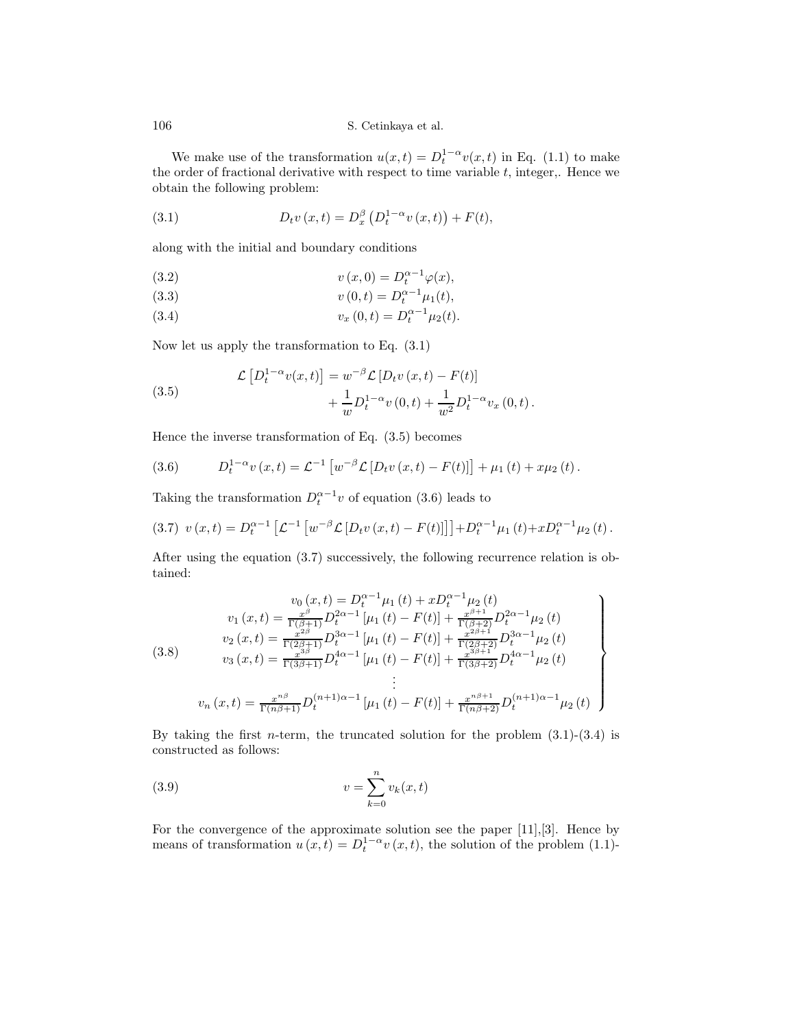We make use of the transformation  $u(x,t) = D_t^{1-\alpha}v(x,t)$  in Eq. (1.1) to make the order of fractional derivative with respect to time variable  $t$ , integer,. Hence we obtain the following problem:

(3.1) 
$$
D_t v(x,t) = D_x^{\beta} (D_t^{1-\alpha} v(x,t)) + F(t),
$$

along with the initial and boundary conditions

(3.2) 
$$
v(x,0) = D_t^{\alpha-1} \varphi(x),
$$

(3.3) 
$$
v(0,t) = D_t^{\alpha-1} \mu_1(t),
$$

(3.4) 
$$
v_x(0,t) = D_t^{\alpha-1} \mu_2(t).
$$

Now let us apply the transformation to Eq. (3.1)

(3.5) 
$$
\mathcal{L}\left[D_t^{1-\alpha}v(x,t)\right] = w^{-\beta}\mathcal{L}\left[D_tv(x,t) - F(t)\right] + \frac{1}{w}D_t^{1-\alpha}v(0,t) + \frac{1}{w^2}D_t^{1-\alpha}v_x(0,t).
$$

Hence the inverse transformation of Eq. (3.5) becomes

(3.6) 
$$
D_t^{1-\alpha} v(x,t) = \mathcal{L}^{-1} \left[ w^{-\beta} \mathcal{L} \left[ D_t v(x,t) - F(t) \right] \right] + \mu_1(t) + x \mu_2(t).
$$

Taking the transformation  $D_t^{\alpha-1}v$  of equation (3.6) leads to

$$
(3.7) \ v(x,t) = D_t^{\alpha-1} \left[ \mathcal{L}^{-1} \left[ w^{-\beta} \mathcal{L} \left[ D_t v(x,t) - F(t) \right] \right] \right] + D_t^{\alpha-1} \mu_1(t) + x D_t^{\alpha-1} \mu_2(t).
$$

After using the equation (3.7) successively, the following recurrence relation is obtained:

$$
v_{0}(x,t) = D_{t}^{\alpha-1} \mu_{1}(t) + x D_{t}^{\alpha-1} \mu_{2}(t)
$$
  
\n
$$
v_{1}(x,t) = \frac{x^{\beta}}{\Gamma(\beta+1)} D_{t}^{2\alpha-1} [\mu_{1}(t) - F(t)] + \frac{x^{\beta+1}}{\Gamma(\beta+2)} D_{t}^{2\alpha-1} \mu_{2}(t)
$$
  
\n
$$
v_{2}(x,t) = \frac{x^{2\beta}}{\Gamma(2\beta+1)} D_{t}^{3\alpha-1} [\mu_{1}(t) - F(t)] + \frac{x^{2\beta+1}}{\Gamma(2\beta+2)} D_{t}^{3\alpha-1} \mu_{2}(t)
$$
  
\n
$$
v_{3}(x,t) = \frac{x^{3\beta}}{\Gamma(3\beta+1)} D_{t}^{4\alpha-1} [\mu_{1}(t) - F(t)] + \frac{x^{3\beta+1}}{\Gamma(3\beta+2)} D_{t}^{4\alpha-1} \mu_{2}(t)
$$
  
\n
$$
\vdots
$$
  
\n
$$
v_{n}(x,t) = \frac{x^{n\beta}}{\Gamma(n\beta+1)} D_{t}^{(n+1)\alpha-1} [\mu_{1}(t) - F(t)] + \frac{x^{n\beta+1}}{\Gamma(n\beta+2)} D_{t}^{(n+1)\alpha-1} \mu_{2}(t)
$$

By taking the first *n*-term, the truncated solution for the problem  $(3.1)-(3.4)$  is constructed as follows:

(3.9) 
$$
v = \sum_{k=0}^{n} v_k(x, t)
$$

For the convergence of the approximate solution see the paper [11], [3]. Hence by means of transformation  $u(x,t) = D_t^{1-\alpha}v(x,t)$ , the solution of the problem (1.1)-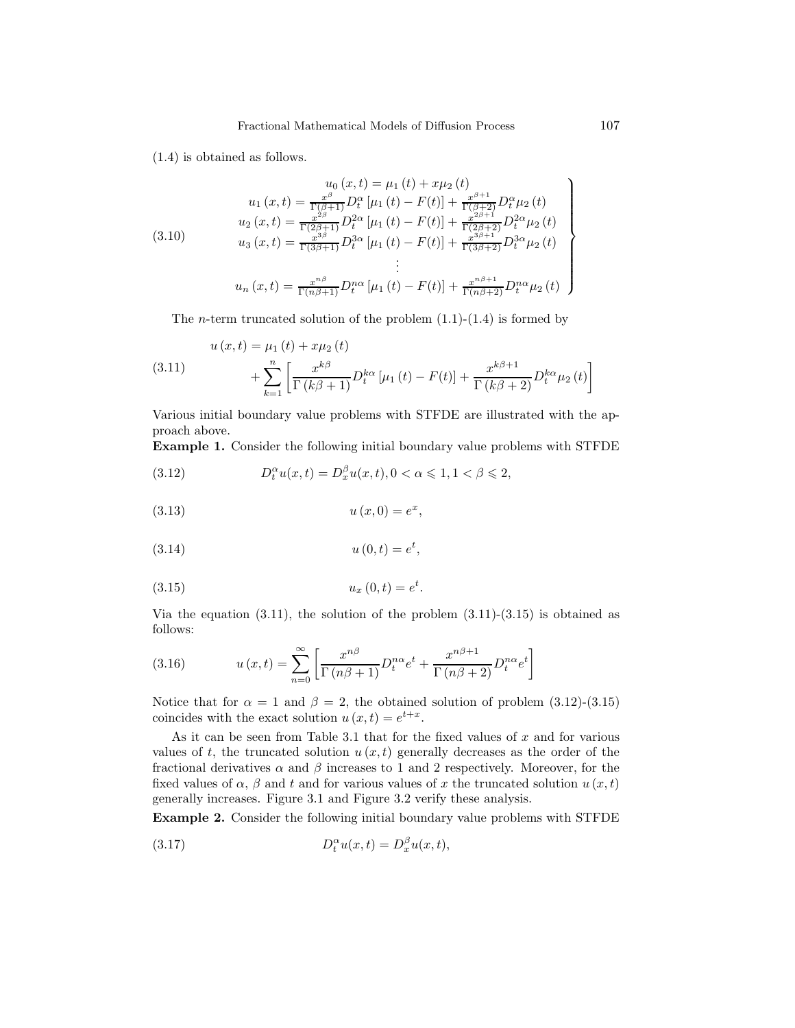(1.4) is obtained as follows.

$$
(3.10)
$$
\n
$$
u_{1}(x,t) = \frac{x^{\beta}}{\Gamma(\beta+1)} D_{t}^{\alpha} [\mu_{1}(t) - F(t)] + \frac{x^{\beta+1}}{\Gamma(\beta+2)} D_{t}^{\alpha} \mu_{2}(t)
$$
\n
$$
u_{2}(x,t) = \frac{x^{2\beta}}{\Gamma(2\beta+1)} D_{t}^{2\alpha} [\mu_{1}(t) - F(t)] + \frac{x^{2\beta+1}}{\Gamma(2\beta+2)} D_{t}^{2\alpha} \mu_{2}(t)
$$
\n
$$
u_{3}(x,t) = \frac{x^{3\beta}}{\Gamma(3\beta+1)} D_{t}^{3\alpha} [\mu_{1}(t) - F(t)] + \frac{x^{2\beta+1}}{\Gamma(3\beta+2)} D_{t}^{3\alpha} \mu_{2}(t)
$$
\n
$$
\vdots
$$
\n
$$
u_{n}(x,t) = \frac{x^{n\beta}}{\Gamma(n\beta+1)} D_{t}^{n\alpha} [\mu_{1}(t) - F(t)] + \frac{x^{n\beta+1}}{\Gamma(n\beta+2)} D_{t}^{n\alpha} \mu_{2}(t)
$$

The *n*-term truncated solution of the problem  $(1.1)-(1.4)$  is formed by

(3.11) 
$$
u(x,t) = \mu_1(t) + x\mu_2(t) + \sum_{k=1}^n \left[ \frac{x^{k\beta}}{\Gamma(k\beta + 1)} D_t^{k\alpha} \left[ \mu_1(t) - F(t) \right] + \frac{x^{k\beta + 1}}{\Gamma(k\beta + 2)} D_t^{k\alpha} \mu_2(t) \right]
$$

Various initial boundary value problems with STFDE are illustrated with the approach above.

Example 1. Consider the following initial boundary value problems with STFDE

(3.12) 
$$
D_t^{\alpha} u(x,t) = D_x^{\beta} u(x,t), 0 < \alpha \leq 1, 1 < \beta \leq 2,
$$

(3.13) 
$$
u(x,0) = e^x,
$$

$$
(3.14) \t\t u(0,t) = e^t
$$

(3.15) 
$$
u_x(0,t) = e^t
$$

Via the equation  $(3.11)$ , the solution of the problem  $(3.11)-(3.15)$  is obtained as follows:

,

.

(3.16) 
$$
u(x,t) = \sum_{n=0}^{\infty} \left[ \frac{x^{n\beta}}{\Gamma(n\beta+1)} D_t^{n\alpha} e^t + \frac{x^{n\beta+1}}{\Gamma(n\beta+2)} D_t^{n\alpha} e^t \right]
$$

Notice that for  $\alpha = 1$  and  $\beta = 2$ , the obtained solution of problem (3.12)-(3.15) coincides with the exact solution  $u(x,t) = e^{t+x}$ .

As it can be seen from Table 3.1 that for the fixed values of  $x$  and for various values of t, the truncated solution  $u(x, t)$  generally decreases as the order of the fractional derivatives  $\alpha$  and  $\beta$  increases to 1 and 2 respectively. Moreover, for the fixed values of  $\alpha$ ,  $\beta$  and  $t$  and for various values of x the truncated solution  $u(x, t)$ generally increases. Figure 3.1 and Figure 3.2 verify these analysis.

Example 2. Consider the following initial boundary value problems with STFDE

(3.17) 
$$
D_t^{\alpha}u(x,t) = D_x^{\beta}u(x,t),
$$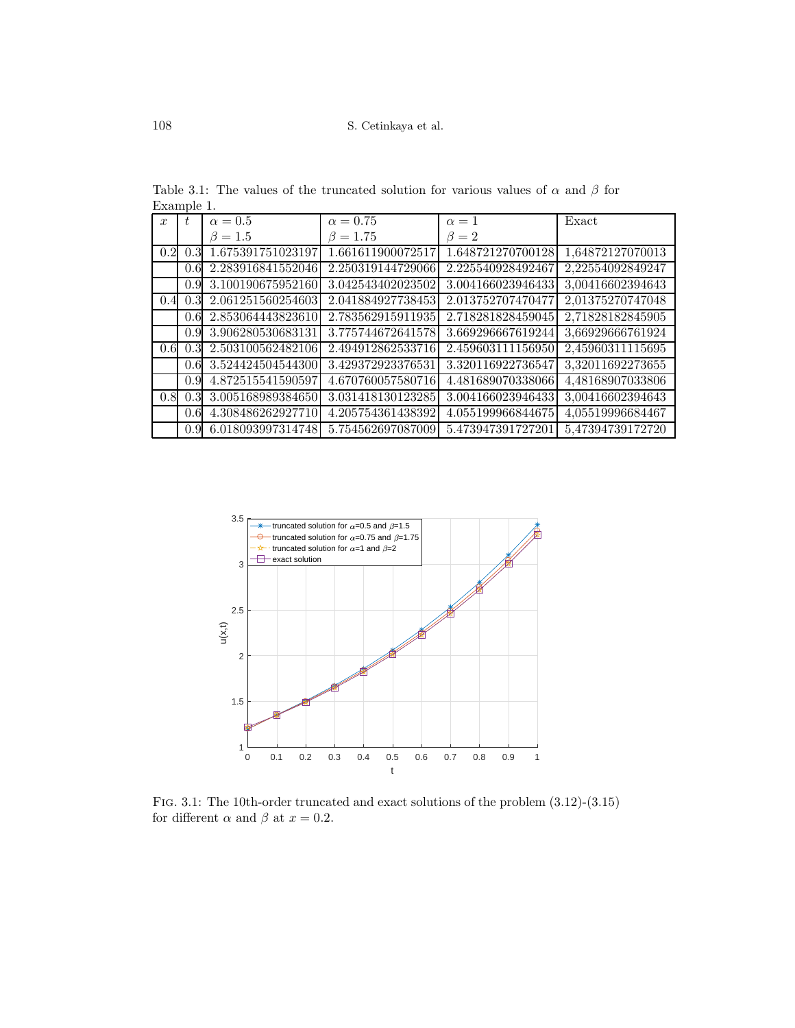| $\mathcal{X}$ | t                | $\alpha = 0.5$        | $\alpha = 0.75$   | $\alpha=1$        | Exact            |
|---------------|------------------|-----------------------|-------------------|-------------------|------------------|
|               |                  | $\beta = 1.5$         | $\beta = 1.75$    | $\beta = 2$       |                  |
| 0.2           | 0.3              | 1.675391751023197     | 1.661611900072517 | 1.648721270700128 | 1,64872127070013 |
|               | 0.6              | 2.283916841552046     | 2.250319144729066 | 2.225540928492467 | 2,22554092849247 |
|               | 0.9              | 3.100190675952160     | 3.042543402023502 | 3.004166023946433 | 3,00416602394643 |
| 0.4           | 0.3              | 2.061251560254603     | 2.041884927738453 | 2.013752707470477 | 2,01375270747048 |
|               | 0.6              | 2.853064443823610     | 2.783562915911935 | 2.718281828459045 | 2,71828182845905 |
|               | 0.9              | 3.906280530683131     | 3.775744672641578 | 3.669296667619244 | 3,66929666761924 |
| 0.6           | 0.3              | 2.503100562482106     | 2.494912862533716 | 2.459603111156950 | 2,45960311115695 |
|               | 0.6 <sup>l</sup> | 3.524424504544300     | 3.429372923376531 | 3.320116922736547 | 3,32011692273655 |
|               | 0.9              | 4.872515541590597     | 4.670760057580716 | 4.481689070338066 | 4,48168907033806 |
| 0.8           |                  | 0.3 3.005168989384650 | 3.031418130123285 | 3.004166023946433 | 3,00416602394643 |
|               | 0.6              | 4.308486262927710     | 4.205754361438392 | 4.055199966844675 | 4,05519996684467 |
|               | 0.9              | 6.018093997314748     | 5.754562697087009 | 5.473947391727201 | 5,47394739172720 |

Table 3.1: The values of the truncated solution for various values of  $\alpha$  and  $\beta$  for Example 1.



Fig. 3.1: The 10th-order truncated and exact solutions of the problem (3.12)-(3.15) for different  $\alpha$  and  $\beta$  at  $x = 0.2$ .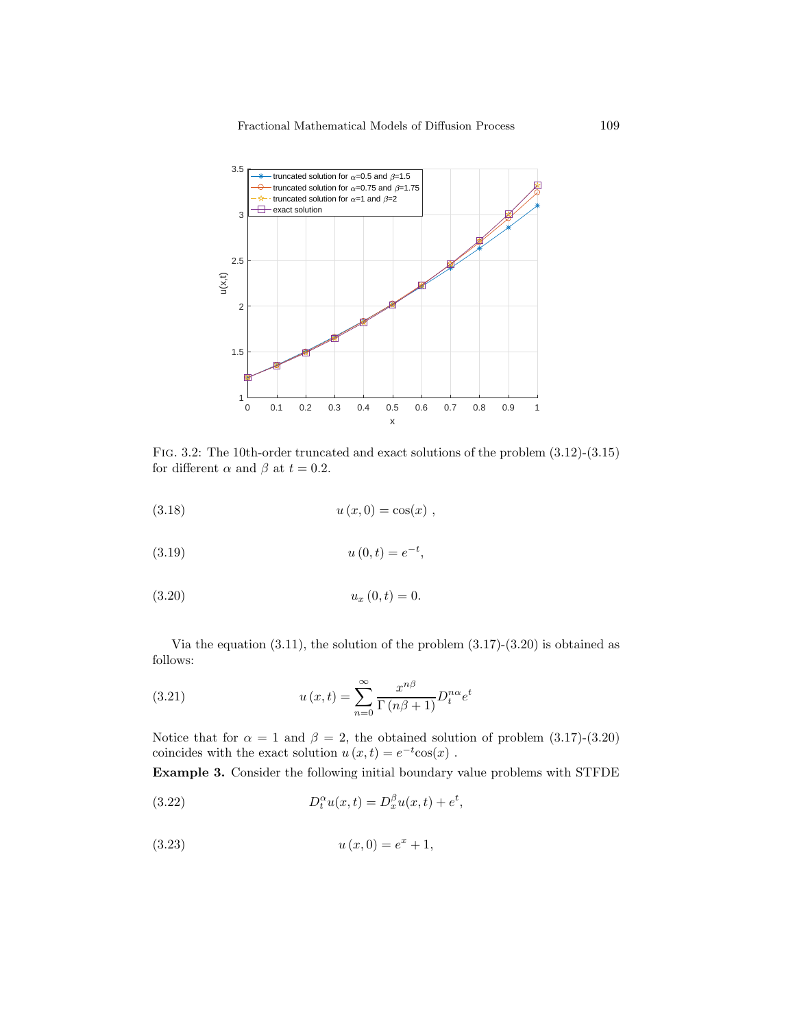

Fig. 3.2: The 10th-order truncated and exact solutions of the problem (3.12)-(3.15) for different  $\alpha$  and  $\beta$  at  $t = 0.2$ .

(3.18) 
$$
u(x, 0) = \cos(x) ,
$$

$$
(3.19) \t\t u(0,t) = e^{-t},
$$

$$
(3.20) \t\t u_x(0,t) = 0.
$$

Via the equation  $(3.11)$ , the solution of the problem  $(3.17)-(3.20)$  is obtained as follows:

(3.21) 
$$
u(x,t) = \sum_{n=0}^{\infty} \frac{x^{n\beta}}{\Gamma(n\beta+1)} D_t^{n\alpha} e^t
$$

Notice that for  $\alpha = 1$  and  $\beta = 2$ , the obtained solution of problem (3.17)-(3.20) coincides with the exact solution  $u(x,t) = e^{-t}\cos(x)$ .

Example 3. Consider the following initial boundary value problems with STFDE

(3.22) 
$$
D_t^{\alpha} u(x,t) = D_x^{\beta} u(x,t) + e^t,
$$

$$
(3.23) \t\t u(x,0) = e^x + 1,
$$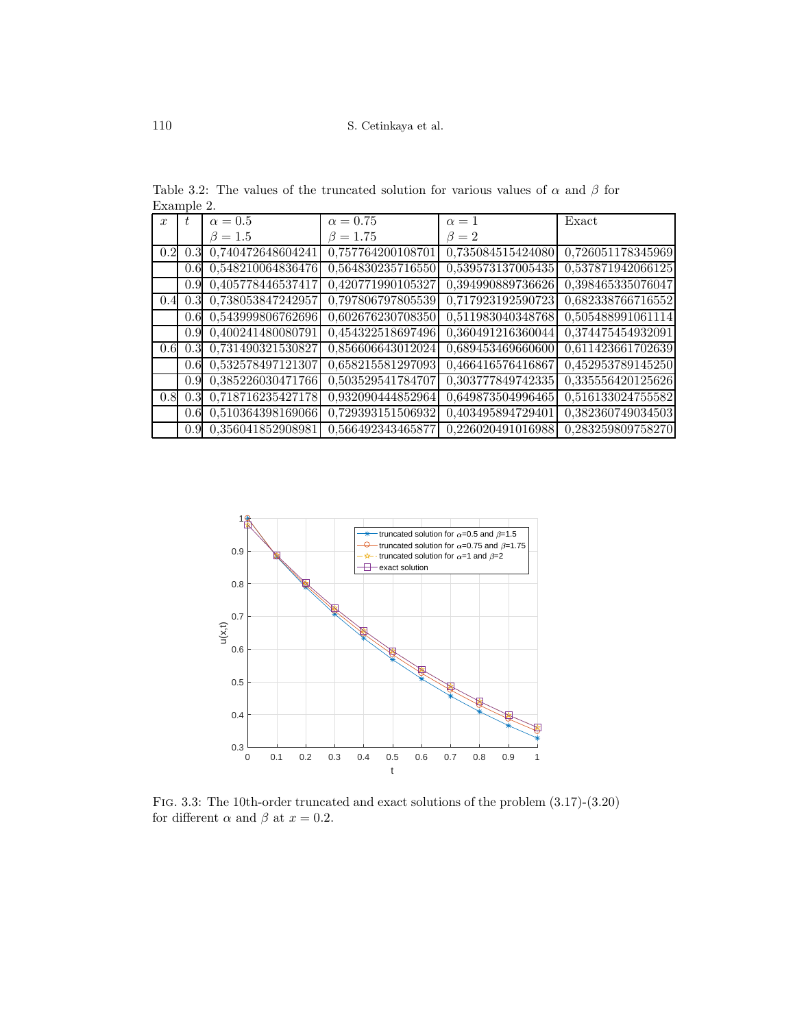| $\mathcal{X}$ |                  | $\alpha = 0.5$        | $\alpha = 0.75$   | $\alpha=1$        | Exact             |
|---------------|------------------|-----------------------|-------------------|-------------------|-------------------|
|               |                  | $\beta = 1.5$         | $\beta = 1.75$    | $\beta=2$         |                   |
| 0.2           | 0.3              | 0,740472648604241     | 0,757764200108701 | 0,735084515424080 | 0,726051178345969 |
|               | 0.6              | 0,548210064836476     | 0,564830235716550 | 0,539573137005435 | 0,537871942066125 |
|               | 0.9 <sup>°</sup> | 0,405778446537417     | 0,420771990105327 | 0,394990889736626 | 0,398465335076047 |
| 0.4           | 0.3              | 0,738053847242957     | 0,797806797805539 | 0.717923192590723 | 0,682338766716552 |
|               | 0.6 <sub>l</sub> | 0,543999806762696     | 0,602676230708350 | 0,511983040348768 | 0,505488991061114 |
|               | 0.9 <sub>l</sub> | 0,400241480080791     | 0,454322518697496 | 0.360491216360044 | 0,374475454932091 |
| 0.6           | 0.3 <sub>l</sub> | 0,731490321530827     | 0,856606643012024 | 0,689453469660600 | 0,611423661702639 |
|               | 0.6 <sub>l</sub> | 0,532578497121307     | 0,658215581297093 | 0,466416576416867 | 0,452953789145250 |
|               | 0.9              | 0,385226030471766     | 0,503529541784707 | 0,303777849742335 | 0,335556420125626 |
| 0.8           |                  | 0.3 0.718716235427178 | 0.932090444852964 | 0,649873504996465 | 0,516133024755582 |
|               | 0.6              | 0,510364398169066     | 0,729393151506932 | 0,403495894729401 | 0,382360749034503 |
|               |                  | 0.9 0,356041852908981 | 0,566492343465877 | 0,226020491016988 | 0,283259809758270 |

Table 3.2: The values of the truncated solution for various values of  $\alpha$  and  $\beta$  for Example 2.



Fig. 3.3: The 10th-order truncated and exact solutions of the problem (3.17)-(3.20) for different  $\alpha$  and  $\beta$  at  $x = 0.2$ .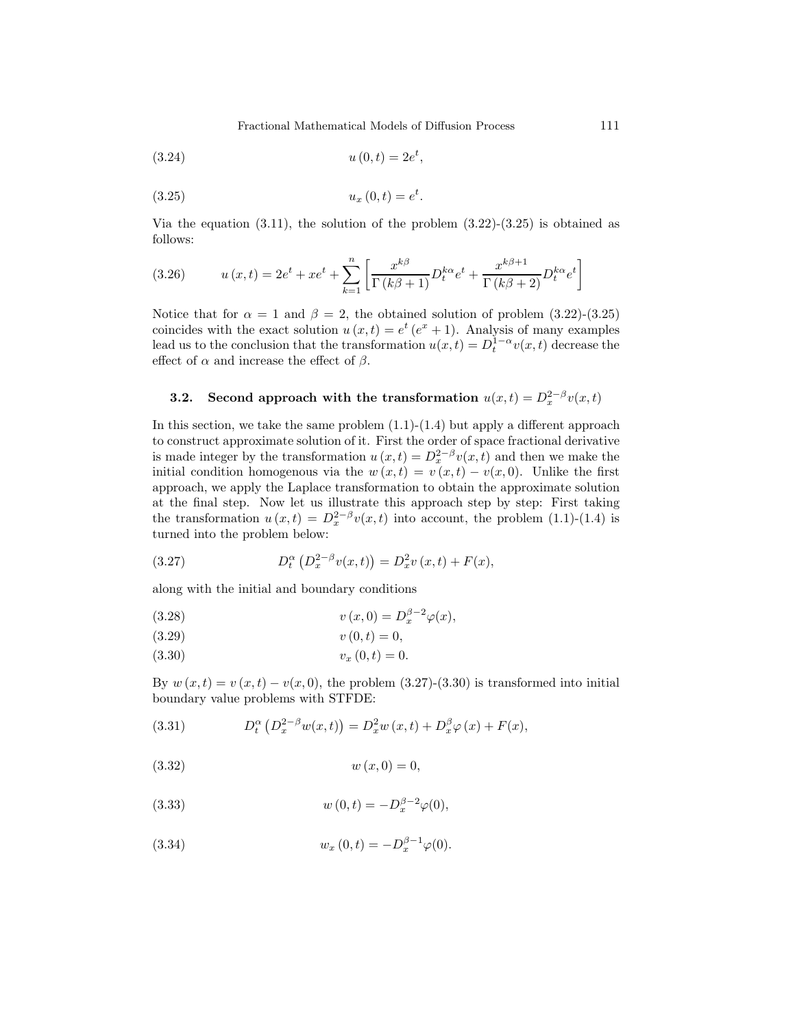Fractional Mathematical Models of Diffusion Process 111

,

$$
(3.24) \t\t u(0,t) = 2e^t
$$

$$
(3.25) \t\t u_x(0,t) = e^t.
$$

Via the equation  $(3.11)$ , the solution of the problem  $(3.22)-(3.25)$  is obtained as follows:

(3.26) 
$$
u(x,t) = 2e^t + xe^t + \sum_{k=1}^n \left[ \frac{x^{k\beta}}{\Gamma(k\beta + 1)} D_t^{k\alpha} e^t + \frac{x^{k\beta + 1}}{\Gamma(k\beta + 2)} D_t^{k\alpha} e^t \right]
$$

Notice that for  $\alpha = 1$  and  $\beta = 2$ , the obtained solution of problem (3.22)-(3.25) coincides with the exact solution  $u(x,t) = e^t (e^x + 1)$ . Analysis of many examples lead us to the conclusion that the transformation  $u(x,t) = D_t^{1-\alpha}v(x,t)$  decrease the effect of  $\alpha$  and increase the effect of  $\beta$ .

## **3.2.** Second approach with the transformation  $u(x,t) = D_x^{2-\beta}v(x,t)$

In this section, we take the same problem  $(1.1)-(1.4)$  but apply a different approach to construct approximate solution of it. First the order of space fractional derivative is made integer by the transformation  $u(x,t) = D_x^{2-\beta}v(x,t)$  and then we make the initial condition homogenous via the  $w(x,t) = v(x,t) - v(x,0)$ . Unlike the first approach, we apply the Laplace transformation to obtain the approximate solution at the final step. Now let us illustrate this approach step by step: First taking the transformation  $u(x,t) = D_x^{2-\beta}v(x,t)$  into account, the problem (1.1)-(1.4) is turned into the problem below:

(3.27) 
$$
D_t^{\alpha} (D_x^{2-\beta} v(x,t)) = D_x^2 v(x,t) + F(x),
$$

along with the initial and boundary conditions

(3.28) 
$$
v(x,0) = D_x^{\beta-2} \varphi(x),
$$

$$
(3.29) \t\t v(0,t) = 0,
$$

$$
(3.30) \t\t v_x(0,t) = 0.
$$

By  $w(x,t) = v(x,t) - v(x,0)$ , the problem (3.27)-(3.30) is transformed into initial boundary value problems with STFDE:

(3.31) 
$$
D_t^{\alpha} (D_x^{2-\beta} w(x,t)) = D_x^{2} w(x,t) + D_x^{\beta} \varphi(x) + F(x),
$$

$$
(3.32) \t\t w(x,0) = 0,
$$

(3.33) 
$$
w(0,t) = -D_x^{\beta-2}\varphi(0),
$$

(3.34) 
$$
w_x(0,t) = -D_x^{\beta-1}\varphi(0).
$$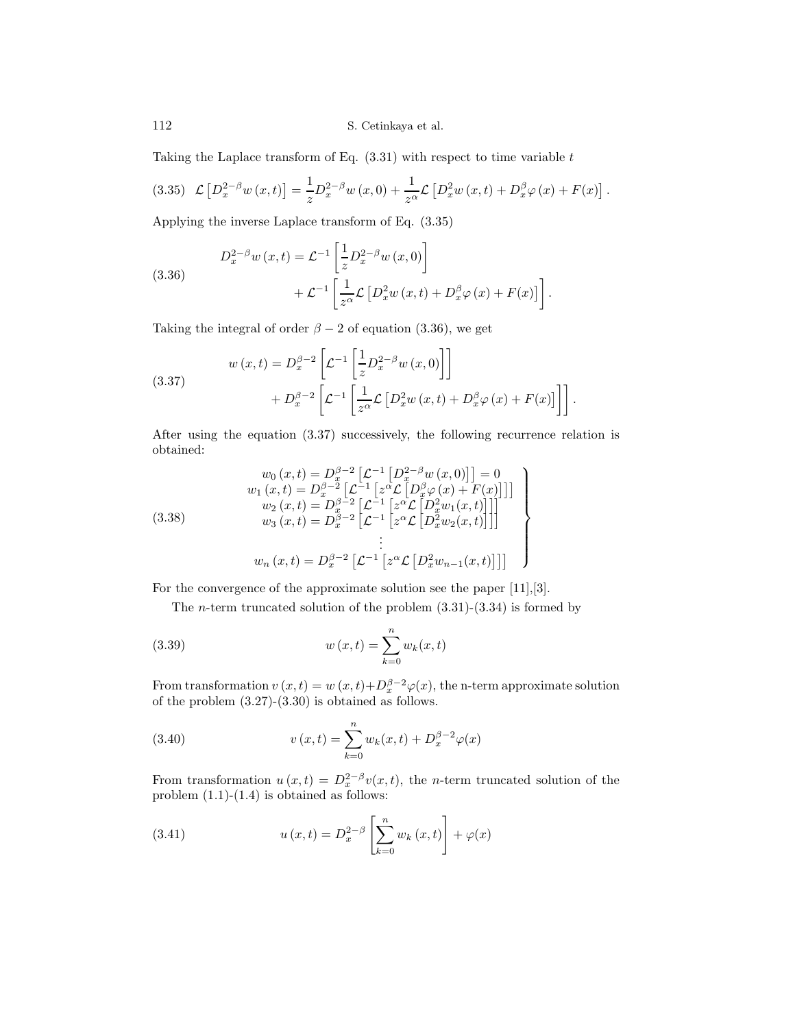112 S. Cetinkaya et al.

Taking the Laplace transform of Eq.  $(3.31)$  with respect to time variable t

$$
(3.35) \mathcal{L}\left[D_{x}^{2-\beta}w(x,t)\right] = \frac{1}{z}D_{x}^{2-\beta}w(x,0) + \frac{1}{z^{\alpha}}\mathcal{L}\left[D_{x}^{2}w(x,t) + D_{x}^{\beta}\varphi(x) + F(x)\right].
$$

Applying the inverse Laplace transform of Eq. (3.35)

(3.36)  

$$
D_x^{2-\beta}w(x,t) = \mathcal{L}^{-1}\left[\frac{1}{z}D_x^{2-\beta}w(x,0)\right] + \mathcal{L}^{-1}\left[\frac{1}{z^{\alpha}}\mathcal{L}\left[D_x^{2}w(x,t) + D_x^{\beta}\varphi(x) + F(x)\right]\right].
$$

Taking the integral of order  $\beta - 2$  of equation (3.36), we get

(3.37)  

$$
w(x,t) = D_x^{\beta-2} \left[ \mathcal{L}^{-1} \left[ \frac{1}{z} D_x^{2-\beta} w(x,0) \right] \right] + D_x^{\beta-2} \left[ \mathcal{L}^{-1} \left[ \frac{1}{z^{\alpha}} \mathcal{L} \left[ D_x^2 w(x,t) + D_x^{\beta} \varphi(x) + F(x) \right] \right] \right].
$$

After using the equation (3.37) successively, the following recurrence relation is obtained:

(3.38)  
\n
$$
w_0(x,t) = D_x^{\beta-2} \left[ \mathcal{L}^{-1} \left[ D_x^{2-\beta} w(x,0) \right] \right] = 0
$$
\n
$$
w_1(x,t) = D_x^{\beta-2} \left[ \mathcal{L}^{-1} \left[ z^{\alpha} \mathcal{L} \left[ D_x^{\beta} \varphi(x) + F(x) \right] \right] \right]
$$
\n
$$
w_2(x,t) = D_x^{\beta-2} \left[ \mathcal{L}^{-1} \left[ z^{\alpha} \mathcal{L} \left[ D_x^2 w_1(x,t) \right] \right] \right]
$$
\n
$$
w_3(x,t) = D_x^{\beta-2} \left[ \mathcal{L}^{-1} \left[ z^{\alpha} \mathcal{L} \left[ D_x^2 w_2(x,t) \right] \right] \right]
$$
\n
$$
\vdots
$$
\n
$$
w_n(x,t) = D_x^{\beta-2} \left[ \mathcal{L}^{-1} \left[ z^{\alpha} \mathcal{L} \left[ D_x^2 w_{n-1}(x,t) \right] \right] \right]
$$

For the convergence of the approximate solution see the paper [11],[3].

The *n*-term truncated solution of the problem  $(3.31)-(3.34)$  is formed by

(3.39) 
$$
w(x,t) = \sum_{k=0}^{n} w_k(x,t)
$$

From transformation  $v(x,t) = w(x,t) + D_x^{\beta-2} \varphi(x)$ , the n-term approximate solution of the problem (3.27)-(3.30) is obtained as follows.

(3.40) 
$$
v(x,t) = \sum_{k=0}^{n} w_k(x,t) + D_x^{\beta - 2} \varphi(x)
$$

From transformation  $u(x,t) = D_x^{2-\beta}v(x,t)$ , the *n*-term truncated solution of the problem  $(1.1)-(1.4)$  is obtained as follows:

(3.41) 
$$
u(x,t) = D_x^{2-\beta} \left[ \sum_{k=0}^n w_k(x,t) \right] + \varphi(x)
$$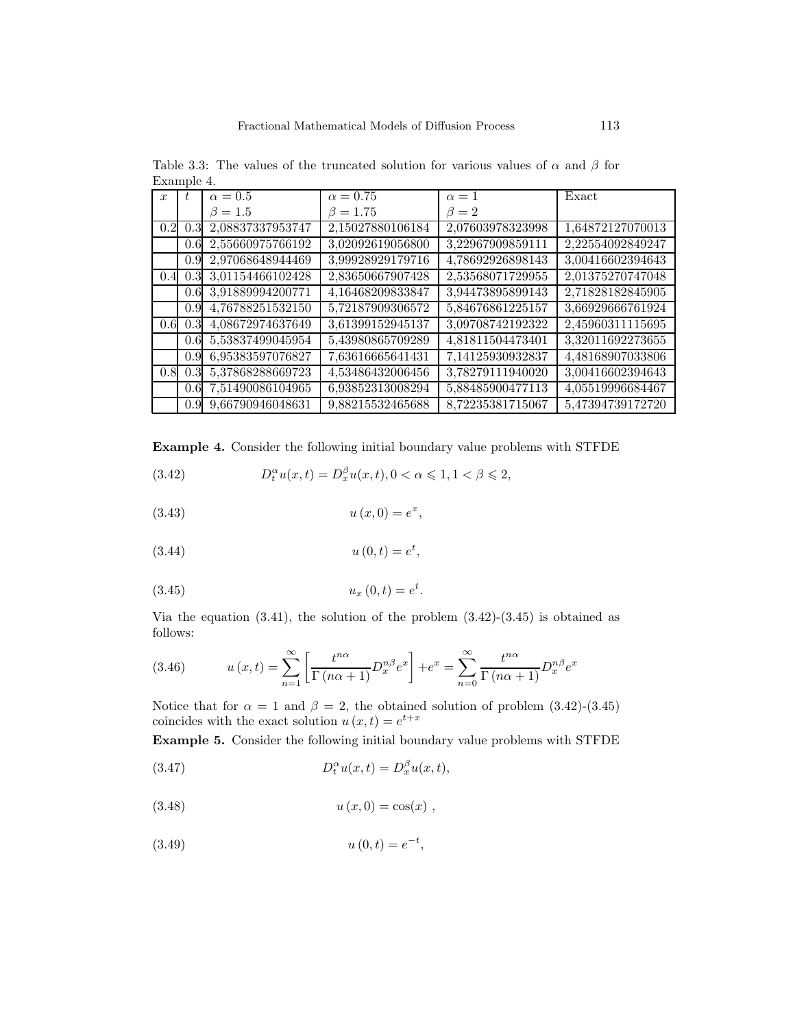| $\boldsymbol{x}$ |                  | $\alpha = 0.5$   | $\alpha = 0.75$  | $\alpha=1$       | Exact            |
|------------------|------------------|------------------|------------------|------------------|------------------|
|                  |                  | $\beta=1.5$      | $\beta = 1.75$   | $\beta = 2$      |                  |
| 0.2              | 0.3              | 2,08837337953747 | 2,15027880106184 | 2,07603978323998 | 1,64872127070013 |
|                  | 0.6              | 2,55660975766192 | 3,02092619056800 | 3,22967909859111 | 2,22554092849247 |
|                  | 0.9              | 2,97068648944469 | 3,99928929179716 | 4,78692926898143 | 3,00416602394643 |
| 0.4              | 0.3              | 3,01154466102428 | 2,83650667907428 | 2,53568071729955 | 2,01375270747048 |
|                  | 0.6              | 3,91889994200771 | 4,16468209833847 | 3,94473895899143 | 2,71828182845905 |
|                  | 0.9 <sub>l</sub> | 4,76788251532150 | 5,72187909306572 | 5,84676861225157 | 3,66929666761924 |
| 0.6              | 0.3              | 4,08672974637649 | 3,61399152945137 | 3,09708742192322 | 2,45960311115695 |
|                  | 0.6              | 5,53837499045954 | 5,43980865709289 | 4,81811504473401 | 3,32011692273655 |
|                  | 0.9              | 6,95383597076827 | 7,63616665641431 | 7,14125930932837 | 4,48168907033806 |
| 0.8              | 0.3              | 5,37868288669723 | 4,53486432006456 | 3,78279111940020 | 3,00416602394643 |
|                  | 0.6              | 7,51490086104965 | 6,93852313008294 | 5,88485900477113 | 4,05519996684467 |
|                  | 0.9              | 9,66790946048631 | 9,88215532465688 | 8,72235381715067 | 5,47394739172720 |

Table 3.3: The values of the truncated solution for various values of  $\alpha$  and  $\beta$  for Example 4.

Example 4. Consider the following initial boundary value problems with STFDE

(3.42) 
$$
D_t^{\alpha} u(x,t) = D_x^{\beta} u(x,t), 0 < \alpha \leq 1, 1 < \beta \leq 2,
$$

$$
(3.43) \t\t u(x,0) = e^x,
$$

$$
(3.44) \t\t u(0,t) = e^t
$$

(3.45) 
$$
u_x(0,t) = e^t
$$

Via the equation  $(3.41)$ , the solution of the problem  $(3.42)-(3.45)$  is obtained as follows:

,

.

(3.46) 
$$
u(x,t) = \sum_{n=1}^{\infty} \left[ \frac{t^{n\alpha}}{\Gamma(n\alpha+1)} D_x^{n\beta} e^x \right] + e^x = \sum_{n=0}^{\infty} \frac{t^{n\alpha}}{\Gamma(n\alpha+1)} D_x^{n\beta} e^x
$$

Notice that for  $\alpha = 1$  and  $\beta = 2$ , the obtained solution of problem (3.42)-(3.45) coincides with the exact solution  $u(x,t) = e^{t+x}$ 

Example 5. Consider the following initial boundary value problems with STFDE

(3.47) 
$$
D_t^{\alpha}u(x,t) = D_x^{\beta}u(x,t),
$$

(3.48) 
$$
u(x,0) = \cos(x) ,
$$

$$
(3.49) \t\t u(0,t) = e^{-t},
$$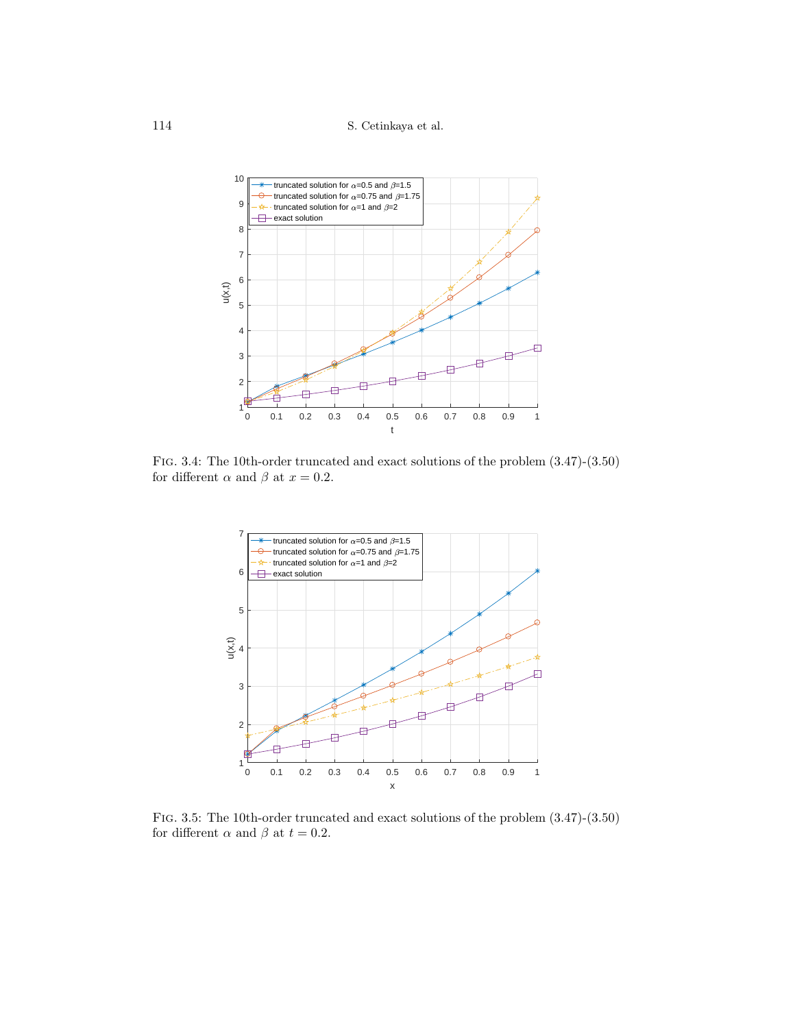114 S. Cetinkaya et al.



Fig. 3.4: The 10th-order truncated and exact solutions of the problem (3.47)-(3.50) for different  $\alpha$  and  $\beta$  at  $x = 0.2$ .



Fig. 3.5: The 10th-order truncated and exact solutions of the problem (3.47)-(3.50) for different  $\alpha$  and  $\beta$  at  $t = 0.2$ .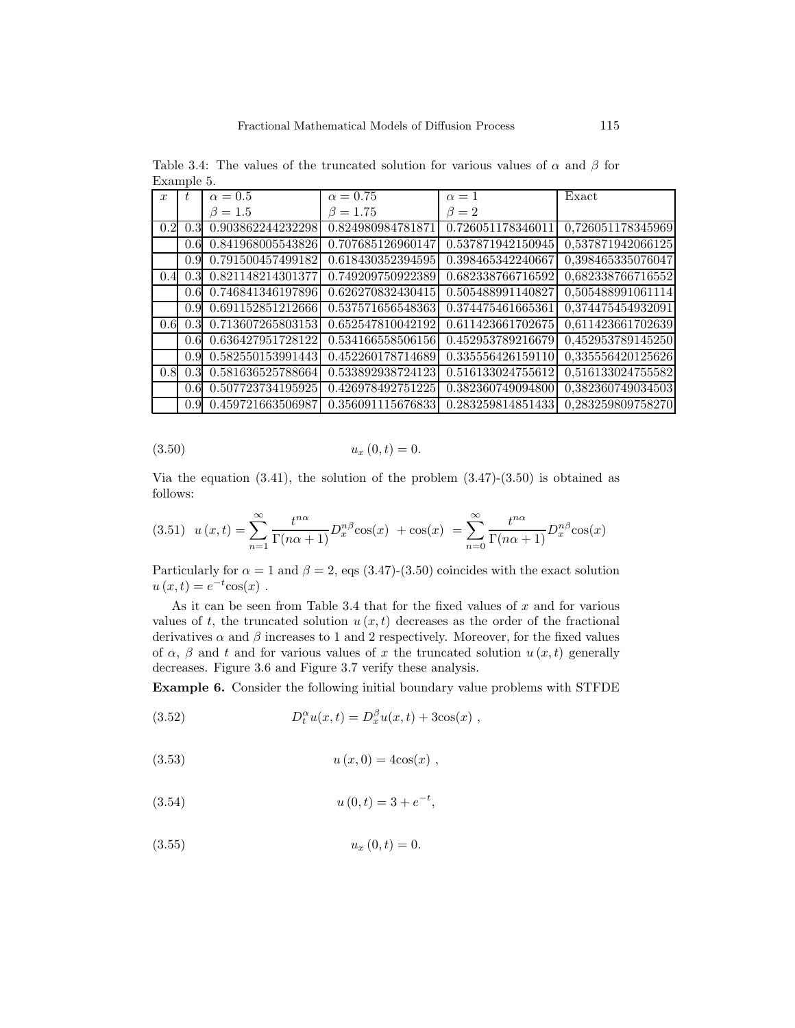Table 3.4: The values of the truncated solution for various values of  $\alpha$  and  $\beta$  for Example 5.

| $\boldsymbol{x}$ | t.               | $\alpha = 0.5$        | $\alpha = 0.75$   | $\alpha=1$        | Exact             |
|------------------|------------------|-----------------------|-------------------|-------------------|-------------------|
|                  |                  | $\beta = 1.5$         | $\beta = 1.75$    | $\beta = 2$       |                   |
| 0.2              | 0.3 <sub>l</sub> | 0.903862244232298     | 0.824980984781871 | 0.726051178346011 | 0,726051178345969 |
|                  | 0.6              | 0.841968005543826     | 0.707685126960147 | 0.537871942150945 | 0,537871942066125 |
|                  | 0.9              | 0.791500457499182     | 0.618430352394595 | 0.398465342240667 | 0,398465335076047 |
| 0.4              |                  | 0.3 0.821148214301377 | 0.749209750922389 | 0.682338766716592 | 0,682338766716552 |
|                  |                  | 0.6 0.746841346197896 | 0.626270832430415 | 0.505488991140827 | 0,505488991061114 |
|                  | 0.9              | 0.691152851212666     | 0.537571656548363 | 0.374475461665361 | 0,374475454932091 |
| 0.6              |                  | 0.3 0.713607265803153 | 0.652547810042192 | 0.611423661702675 | 0,611423661702639 |
|                  | 0.6              | 0.636427951728122     | 0.534166558506156 | 0.452953789216679 | 0,452953789145250 |
|                  | 0.9              | 0.582550153991443     | 0.452260178714689 | 0.335556426159110 | 0,335556420125626 |
| 0.8              | 0.3 <sub>l</sub> | 0.581636525788664     | 0.533892938724123 | 0.516133024755612 | 0,516133024755582 |
|                  | 0.6 <sup>l</sup> | 0.507723734195925     | 0.426978492751225 | 0.382360749094800 | 0,382360749034503 |
|                  | 0.9              | 0.459721663506987     | 0.356091115676833 | 0.283259814851433 | 0,283259809758270 |

$$
(3.50) \t\t u_x(0,t) = 0.
$$

Via the equation  $(3.41)$ , the solution of the problem  $(3.47)-(3.50)$  is obtained as follows:

$$
(3.51) \quad u(x,t) = \sum_{n=1}^{\infty} \frac{t^{n\alpha}}{\Gamma(n\alpha+1)} D_x^{n\beta} \cos(x) + \cos(x) = \sum_{n=0}^{\infty} \frac{t^{n\alpha}}{\Gamma(n\alpha+1)} D_x^{n\beta} \cos(x)
$$

Particularly for  $\alpha = 1$  and  $\beta = 2$ , eqs (3.47)-(3.50) coincides with the exact solution  $u(x,t) = e^{-t}\cos(x)$ .

As it can be seen from Table 3.4 that for the fixed values of  $x$  and for various values of t, the truncated solution  $u(x, t)$  decreases as the order of the fractional derivatives  $\alpha$  and  $\beta$  increases to 1 and 2 respectively. Moreover, for the fixed values of  $\alpha$ ,  $\beta$  and t and for various values of x the truncated solution  $u(x, t)$  generally decreases. Figure 3.6 and Figure 3.7 verify these analysis.

Example 6. Consider the following initial boundary value problems with STFDE

(3.52) 
$$
D_t^{\alpha} u(x,t) = D_x^{\beta} u(x,t) + 3\cos(x) ,
$$

(3.53) 
$$
u(x,0) = 4\cos(x) ,
$$

$$
(3.54) \t\t u(0,t) = 3 + e^{-t},
$$

$$
(3.55) \t\t u_x(0,t) = 0.
$$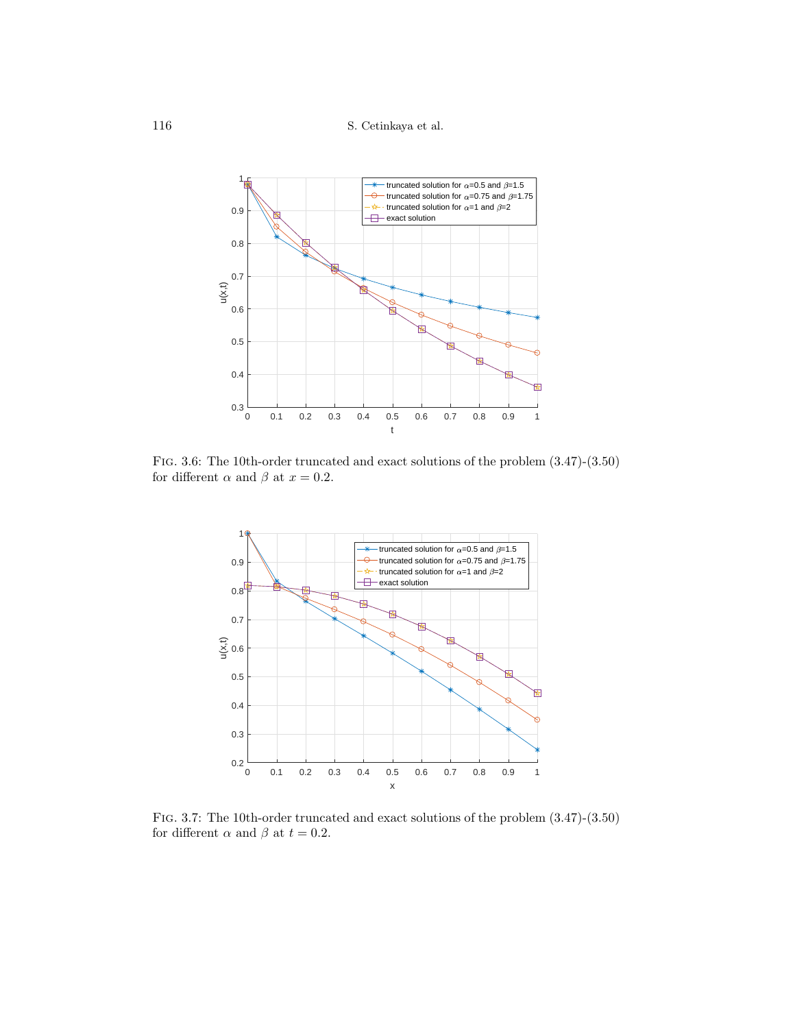116 S. Cetinkaya et al.



Fig. 3.6: The 10th-order truncated and exact solutions of the problem (3.47)-(3.50) for different  $\alpha$  and  $\beta$  at  $x = 0.2$ .



Fig. 3.7: The 10th-order truncated and exact solutions of the problem (3.47)-(3.50) for different  $\alpha$  and  $\beta$  at  $t = 0.2$ .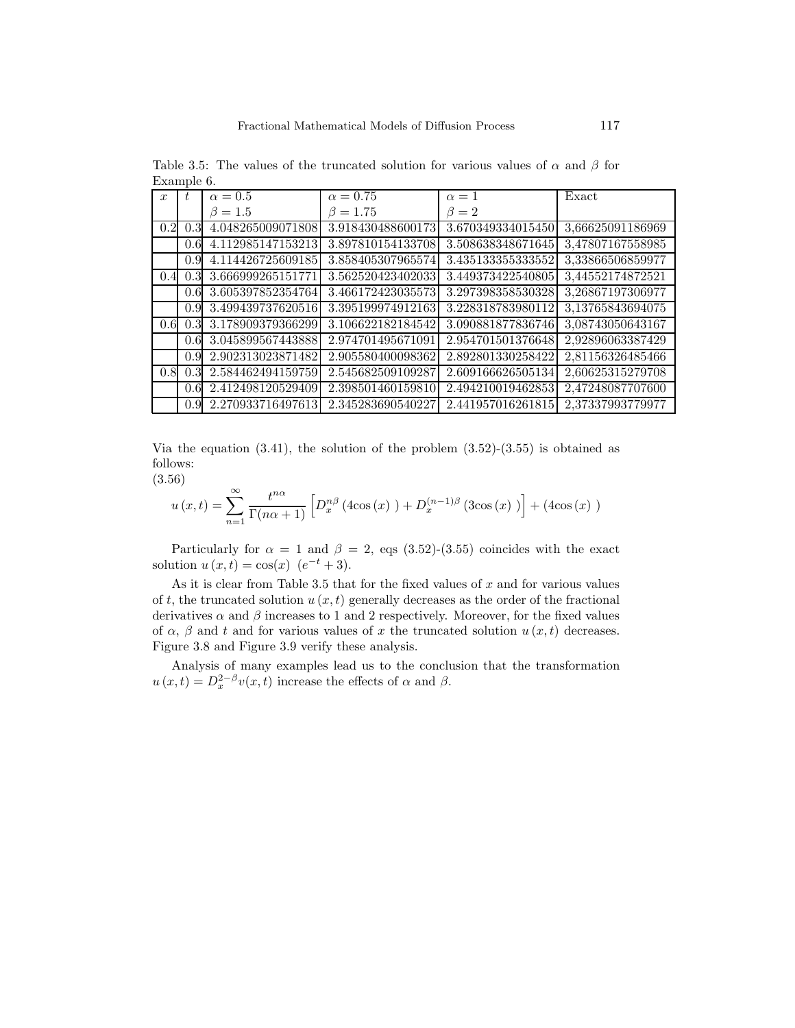Table 3.5: The values of the truncated solution for various values of  $\alpha$  and  $\beta$  for Example 6.

| $\boldsymbol{x}$ | t.               | $\alpha = 0.5$    | $\alpha = 0.75$   | $\alpha=1$        | Exact            |
|------------------|------------------|-------------------|-------------------|-------------------|------------------|
|                  |                  | $\beta = 1.5$     | $\beta = 1.75$    | $\beta = 2$       |                  |
| 0.2              | 0.3              | 4.048265009071808 | 3.918430488600173 | 3.670349334015450 | 3,66625091186969 |
|                  | 0.6              | 4.112985147153213 | 3.897810154133708 | 3.508638348671645 | 3,47807167558985 |
|                  | 0.9              | 4.114426725609185 | 3.858405307965574 | 3.435133355333552 | 3,33866506859977 |
| 0.4              | 0.3 <sub>l</sub> | 3.666999265151771 | 3.562520423402033 | 3.449373422540805 | 3,44552174872521 |
|                  | 0.6 <sup>l</sup> | 3.605397852354764 | 3.466172423035573 | 3.297398358530328 | 3,26867197306977 |
|                  | 0.9              | 3.499439737620516 | 3.395199974912163 | 3.228318783980112 | 3,13765843694075 |
| 0.6              | 0.3 <sup>l</sup> | 3.178909379366299 | 3.106622182184542 | 3.090881877836746 | 3,08743050643167 |
|                  | 0.6 <sup>l</sup> | 3.045899567443888 | 2.974701495671091 | 2.954701501376648 | 2,92896063387429 |
|                  | 0.9 <sup>°</sup> | 2.902313023871482 | 2.905580400098362 | 2.892801330258422 | 2,81156326485466 |
| 0.8              | 0.3              | 2.584462494159759 | 2.545682509109287 | 2.609166626505134 | 2,60625315279708 |
|                  | 0.6 <sup>l</sup> | 2.412498120529409 | 2.398501460159810 | 2.494210019462853 | 2,47248087707600 |
|                  | 0.9 <sup>°</sup> | 2.270933716497613 | 2.345283690540227 | 2.441957016261815 | 2,37337993779977 |

Via the equation  $(3.41)$ , the solution of the problem  $(3.52)-(3.55)$  is obtained as follows:

(3.56)

$$
u(x,t) = \sum_{n=1}^{\infty} \frac{t^{n\alpha}}{\Gamma(n\alpha+1)} \left[ D_x^{n\beta} \left( 4\cos(x) \right) + D_x^{(n-1)\beta} \left( 3\cos(x) \right) \right] + (4\cos(x))
$$

Particularly for  $\alpha = 1$  and  $\beta = 2$ , eqs (3.52)-(3.55) coincides with the exact solution  $u(x,t) = \cos(x) (e^{-t} + 3)$ .

As it is clear from Table 3.5 that for the fixed values of  $x$  and for various values of t, the truncated solution  $u(x, t)$  generally decreases as the order of the fractional derivatives  $\alpha$  and  $\beta$  increases to 1 and 2 respectively. Moreover, for the fixed values of  $\alpha$ ,  $\beta$  and t and for various values of x the truncated solution  $u(x, t)$  decreases. Figure 3.8 and Figure 3.9 verify these analysis.

Analysis of many examples lead us to the conclusion that the transformation  $u(x,t) = D_x^{2-\beta}v(x,t)$  increase the effects of  $\alpha$  and  $\beta$ .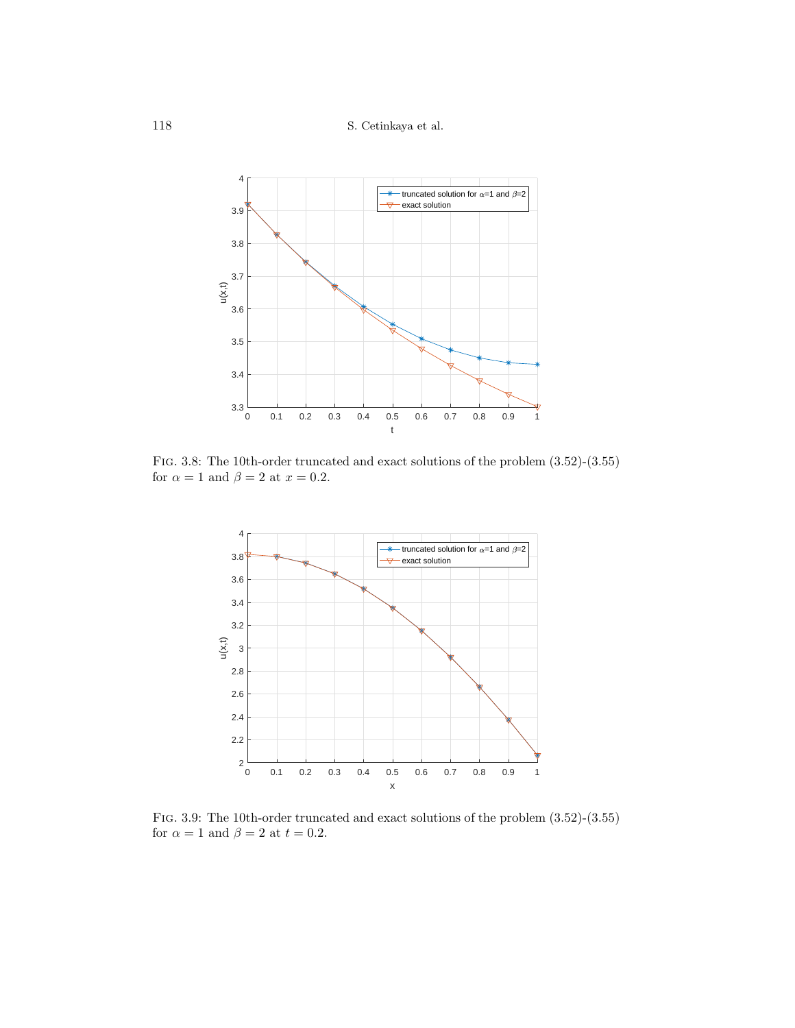118 S. Cetinkaya et al.



Fig. 3.8: The 10th-order truncated and exact solutions of the problem (3.52)-(3.55) for  $\alpha = 1$  and  $\beta = 2$  at  $x = 0.2$ .



Fig. 3.9: The 10th-order truncated and exact solutions of the problem (3.52)-(3.55) for  $\alpha = 1$  and  $\beta = 2$  at  $t = 0.2$ .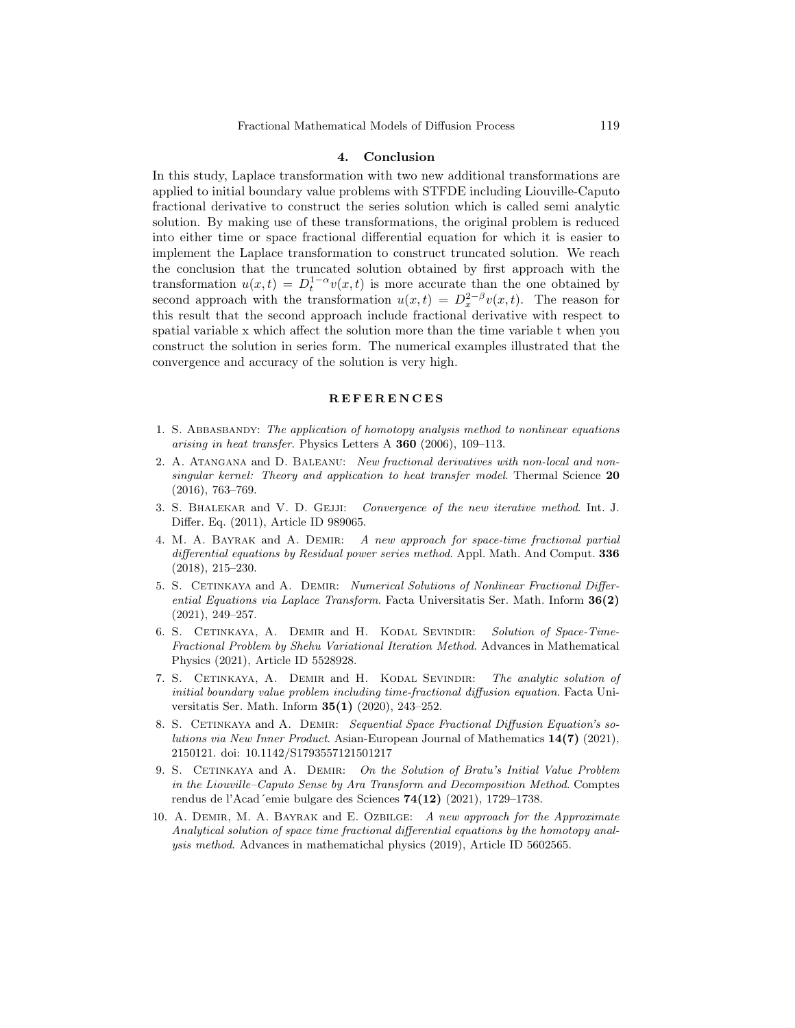#### 4. Conclusion

In this study, Laplace transformation with two new additional transformations are applied to initial boundary value problems with STFDE including Liouville-Caputo fractional derivative to construct the series solution which is called semi analytic solution. By making use of these transformations, the original problem is reduced into either time or space fractional differential equation for which it is easier to implement the Laplace transformation to construct truncated solution. We reach the conclusion that the truncated solution obtained by first approach with the transformation  $u(x,t) = D_t^{1-\alpha}v(x,t)$  is more accurate than the one obtained by second approach with the transformation  $u(x,t) = D_x^{2-\beta}v(x,t)$ . The reason for this result that the second approach include fractional derivative with respect to spatial variable x which affect the solution more than the time variable t when you construct the solution in series form. The numerical examples illustrated that the convergence and accuracy of the solution is very high.

### **REFERENCES**

- 1. S. ABBASBANDY: The application of homotopy analysis method to nonlinear equations arising in heat transfer. Physics Letters A 360 (2006), 109–113.
- 2. A. Atangana and D. Baleanu: New fractional derivatives with non-local and nonsingular kernel: Theory and application to heat transfer model. Thermal Science  $20$ (2016), 763–769.
- 3. S. BHALEKAR and V. D. GEJJI: Convergence of the new iterative method. Int. J. Differ. Eq. (2011), Article ID 989065.
- 4. M. A. Bayrak and A. Demir: A new approach for space-time fractional partial differential equations by Residual power series method. Appl. Math. And Comput. 336 (2018), 215–230.
- 5. S. CETINKAYA and A. DEMIR: Numerical Solutions of Nonlinear Fractional Differential Equations via Laplace Transform. Facta Universitatis Ser. Math. Inform 36(2) (2021), 249–257.
- 6. S. CETINKAYA, A. DEMIR and H. KODAL SEVINDIR: Solution of Space-Time-Fractional Problem by Shehu Variational Iteration Method. Advances in Mathematical Physics (2021), Article ID 5528928.
- 7. S. CETINKAYA, A. DEMIR and H. KODAL SEVINDIR: The analytic solution of initial boundary value problem including time-fractional diffusion equation. Facta Universitatis Ser. Math. Inform  $35(1)$   $(2020)$ ,  $243-252$ .
- 8. S. CETINKAYA and A. DEMIR: Sequential Space Fractional Diffusion Equation's solutions via New Inner Product. Asian-European Journal of Mathematics 14(7) (2021), 2150121. doi: 10.1142/S1793557121501217
- 9. S. CETINKAYA and A. DEMIR: On the Solution of Bratu's Initial Value Problem in the Liouville–Caputo Sense by Ara Transform and Decomposition Method. Comptes rendus de l'Acad´emie bulgare des Sciences 74(12) (2021), 1729–1738.
- 10. A. Demir, M. A. Bayrak and E. Ozbilge: A new approach for the Approximate Analytical solution of space time fractional differential equations by the homotopy analysis method. Advances in mathematichal physics (2019), Article ID 5602565.